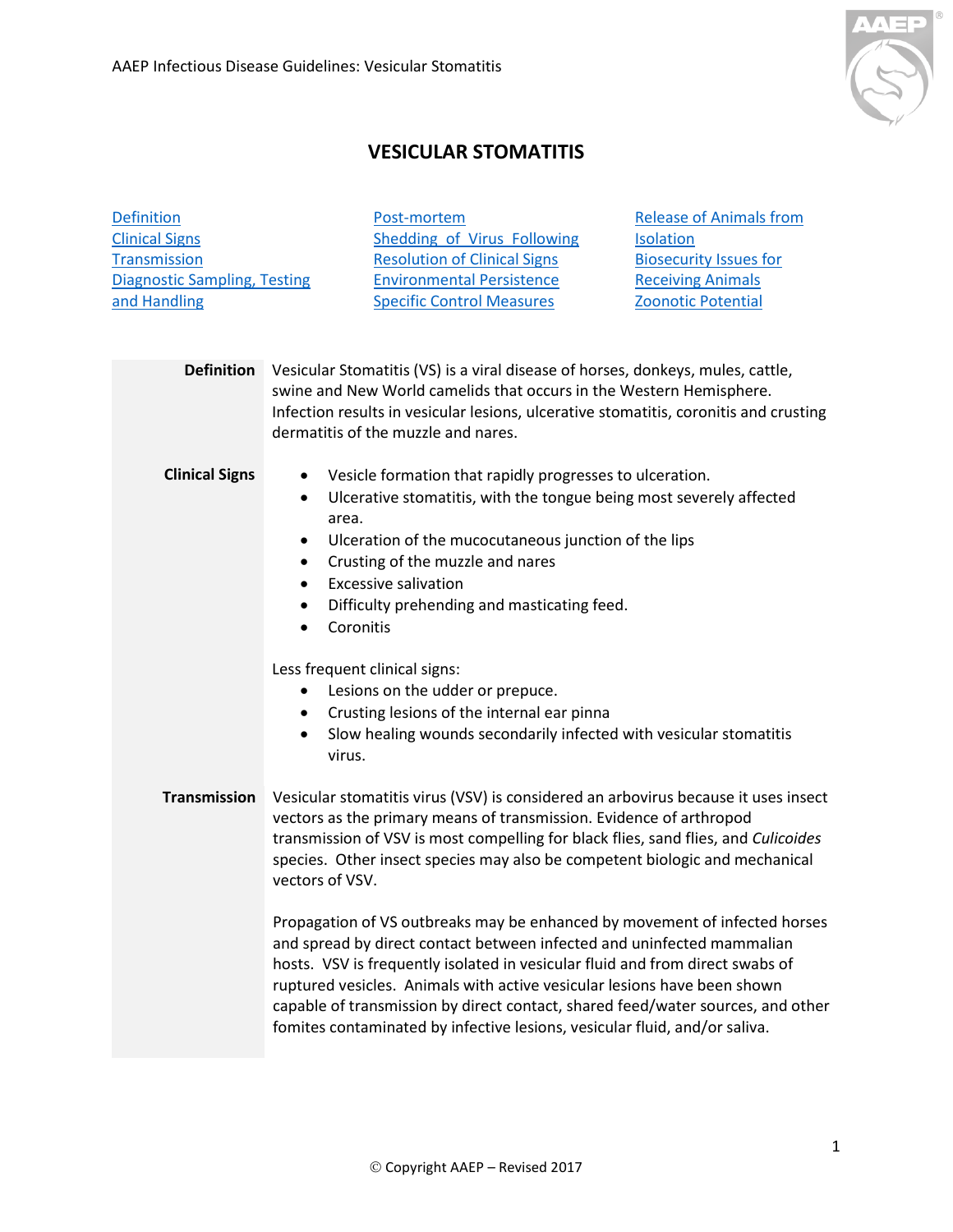[Definition](#page-0-0)



[Release of Animals from](#page-2-0) 

## **VESICULAR STOMATITIS**

[Post-mortem](#page-1-1)

<span id="page-0-2"></span><span id="page-0-1"></span><span id="page-0-0"></span>

| <b>Clinical Signs</b>               | Shedding of Virus Following<br><b>Isolation</b>                                                                                                                                                                                                                                                                                                                                                                                                                                    |
|-------------------------------------|------------------------------------------------------------------------------------------------------------------------------------------------------------------------------------------------------------------------------------------------------------------------------------------------------------------------------------------------------------------------------------------------------------------------------------------------------------------------------------|
| <b>Transmission</b>                 | <b>Resolution of Clinical Signs</b><br><b>Biosecurity Issues for</b>                                                                                                                                                                                                                                                                                                                                                                                                               |
| <b>Diagnostic Sampling, Testing</b> | <b>Environmental Persistence</b><br><b>Receiving Animals</b>                                                                                                                                                                                                                                                                                                                                                                                                                       |
| and Handling                        | <b>Specific Control Measures</b><br>Zoonotic Potential                                                                                                                                                                                                                                                                                                                                                                                                                             |
|                                     |                                                                                                                                                                                                                                                                                                                                                                                                                                                                                    |
| <b>Definition</b>                   | Vesicular Stomatitis (VS) is a viral disease of horses, donkeys, mules, cattle,<br>swine and New World camelids that occurs in the Western Hemisphere.<br>Infection results in vesicular lesions, ulcerative stomatitis, coronitis and crusting<br>dermatitis of the muzzle and nares.                                                                                                                                                                                             |
| <b>Clinical Signs</b>               | Vesicle formation that rapidly progresses to ulceration.<br>$\bullet$<br>Ulcerative stomatitis, with the tongue being most severely affected<br>$\bullet$<br>area.<br>Ulceration of the mucocutaneous junction of the lips<br>$\bullet$<br>Crusting of the muzzle and nares<br>$\bullet$<br><b>Excessive salivation</b><br>$\bullet$<br>Difficulty prehending and masticating feed.<br>$\bullet$<br>Coronitis                                                                      |
|                                     | Less frequent clinical signs:<br>Lesions on the udder or prepuce.<br>$\bullet$<br>Crusting lesions of the internal ear pinna<br>$\bullet$<br>Slow healing wounds secondarily infected with vesicular stomatitis<br>$\bullet$<br>virus.                                                                                                                                                                                                                                             |
| <b>Transmission</b>                 | Vesicular stomatitis virus (VSV) is considered an arbovirus because it uses insect<br>vectors as the primary means of transmission. Evidence of arthropod<br>transmission of VSV is most compelling for black flies, sand flies, and Culicoides<br>species. Other insect species may also be competent biologic and mechanical<br>vectors of VSV.                                                                                                                                  |
|                                     | Propagation of VS outbreaks may be enhanced by movement of infected horses<br>and spread by direct contact between infected and uninfected mammalian<br>hosts. VSV is frequently isolated in vesicular fluid and from direct swabs of<br>ruptured vesicles. Animals with active vesicular lesions have been shown<br>capable of transmission by direct contact, shared feed/water sources, and other<br>fomites contaminated by infective lesions, vesicular fluid, and/or saliva. |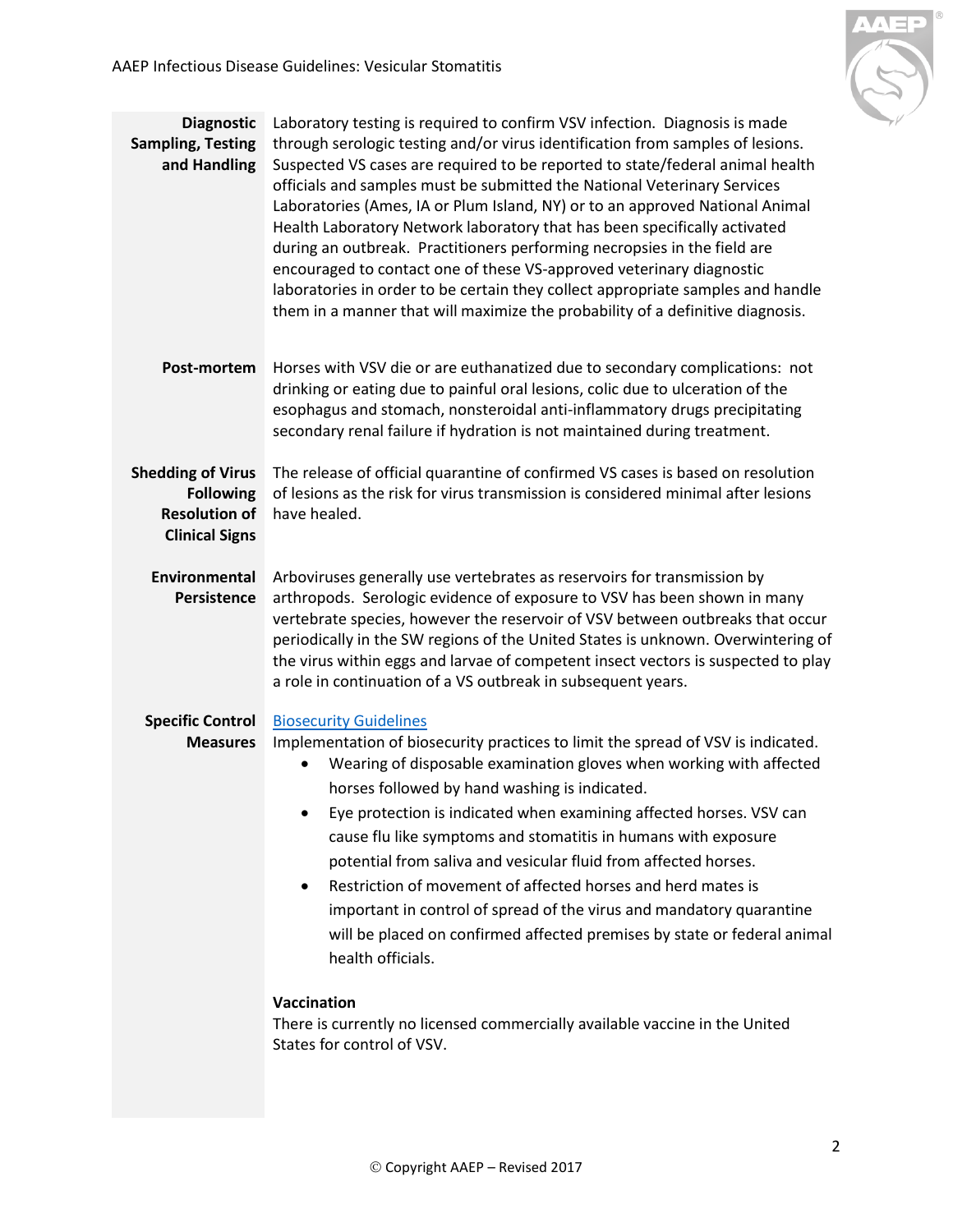

<span id="page-1-4"></span><span id="page-1-3"></span><span id="page-1-2"></span><span id="page-1-1"></span><span id="page-1-0"></span>

| <b>Diagnostic</b><br><b>Sampling, Testing</b><br>and Handling                                 | Laboratory testing is required to confirm VSV infection. Diagnosis is made<br>through serologic testing and/or virus identification from samples of lesions.<br>Suspected VS cases are required to be reported to state/federal animal health<br>officials and samples must be submitted the National Veterinary Services<br>Laboratories (Ames, IA or Plum Island, NY) or to an approved National Animal<br>Health Laboratory Network laboratory that has been specifically activated<br>during an outbreak. Practitioners performing necropsies in the field are<br>encouraged to contact one of these VS-approved veterinary diagnostic<br>laboratories in order to be certain they collect appropriate samples and handle<br>them in a manner that will maximize the probability of a definitive diagnosis.                                      |
|-----------------------------------------------------------------------------------------------|------------------------------------------------------------------------------------------------------------------------------------------------------------------------------------------------------------------------------------------------------------------------------------------------------------------------------------------------------------------------------------------------------------------------------------------------------------------------------------------------------------------------------------------------------------------------------------------------------------------------------------------------------------------------------------------------------------------------------------------------------------------------------------------------------------------------------------------------------|
| Post-mortem                                                                                   | Horses with VSV die or are euthanatized due to secondary complications: not<br>drinking or eating due to painful oral lesions, colic due to ulceration of the<br>esophagus and stomach, nonsteroidal anti-inflammatory drugs precipitating<br>secondary renal failure if hydration is not maintained during treatment.                                                                                                                                                                                                                                                                                                                                                                                                                                                                                                                               |
| <b>Shedding of Virus</b><br><b>Following</b><br><b>Resolution of</b><br><b>Clinical Signs</b> | The release of official quarantine of confirmed VS cases is based on resolution<br>of lesions as the risk for virus transmission is considered minimal after lesions<br>have healed.                                                                                                                                                                                                                                                                                                                                                                                                                                                                                                                                                                                                                                                                 |
| Environmental<br>Persistence                                                                  | Arboviruses generally use vertebrates as reservoirs for transmission by<br>arthropods. Serologic evidence of exposure to VSV has been shown in many<br>vertebrate species, however the reservoir of VSV between outbreaks that occur<br>periodically in the SW regions of the United States is unknown. Overwintering of<br>the virus within eggs and larvae of competent insect vectors is suspected to play<br>a role in continuation of a VS outbreak in subsequent years.                                                                                                                                                                                                                                                                                                                                                                        |
| <b>Specific Control</b><br><b>Measures</b>                                                    | <b>Biosecurity Guidelines</b><br>Implementation of biosecurity practices to limit the spread of VSV is indicated.<br>Wearing of disposable examination gloves when working with affected<br>$\bullet$<br>horses followed by hand washing is indicated.<br>Eye protection is indicated when examining affected horses. VSV can<br>cause flu like symptoms and stomatitis in humans with exposure<br>potential from saliva and vesicular fluid from affected horses.<br>Restriction of movement of affected horses and herd mates is<br>$\bullet$<br>important in control of spread of the virus and mandatory quarantine<br>will be placed on confirmed affected premises by state or federal animal<br>health officials.<br>Vaccination<br>There is currently no licensed commercially available vaccine in the United<br>States for control of VSV. |